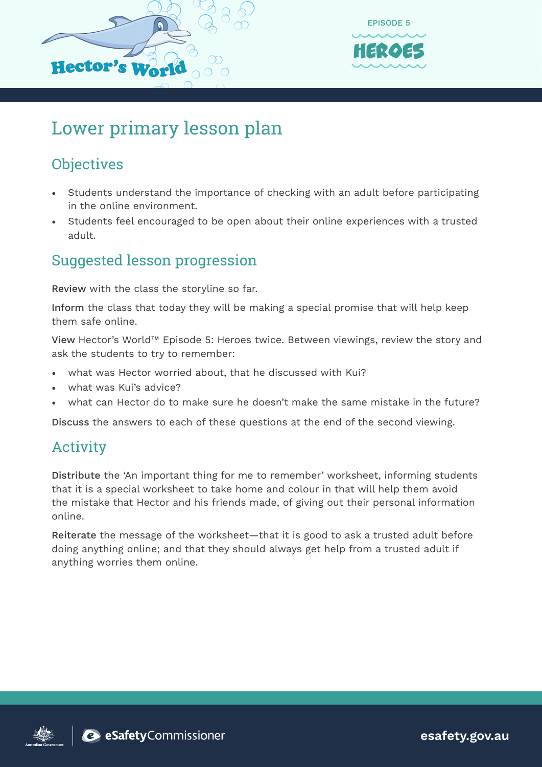



## Lower primary lesson plan

### **Objectives**

- Students understand the importance of checking with an adult before participating in the online environment.
- Students feel encouraged to be open about their online experiences with a trusted adult.

#### Suggested lesson progression

Review with the class the storyline so far.

Inform the class that today they will be making a special promise that will help keep them safe online.

View Hector's World™ Episode 5: Heroes twice. Between viewings, review the story and ask the students to try to remember:

- what was Hector worried about, that he discussed with Kui?
- what was Kui's advice?
- what can Hector do to make sure he doesn't make the same mistake in the future?

Discuss the answers to each of these questions at the end of the second viewing.

#### Activity

Distribute the 'An important thing for me to remember' worksheet, informing students that it is a special worksheet to take home and colour in that will help them avoid the mistake that Hector and his friends made, of giving out their personal information online.

Reiterate the message of the worksheet—that it is good to ask a trusted adult before doing anything online; and that they should always get help from a trusted adult if anything worries them online.





**esafety.gov.au**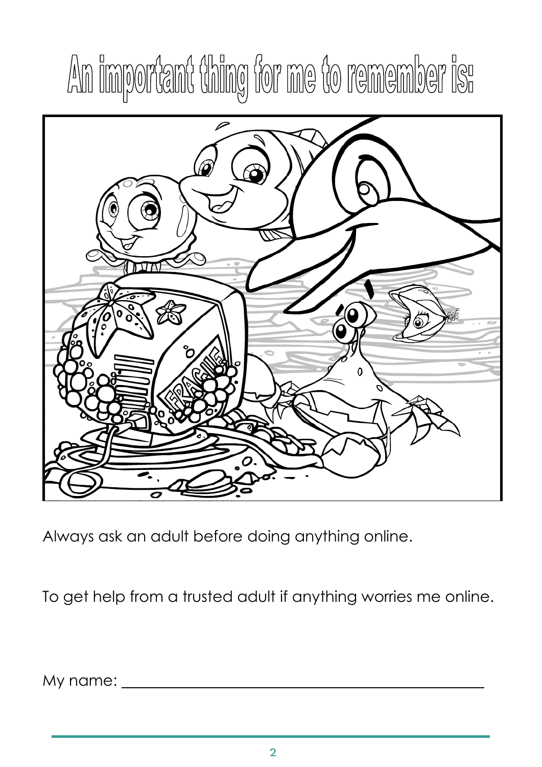# An important thing for me to remember is:



Always ask an adult before doing anything online.

To get help from a trusted adult if anything worries me online.

My name: